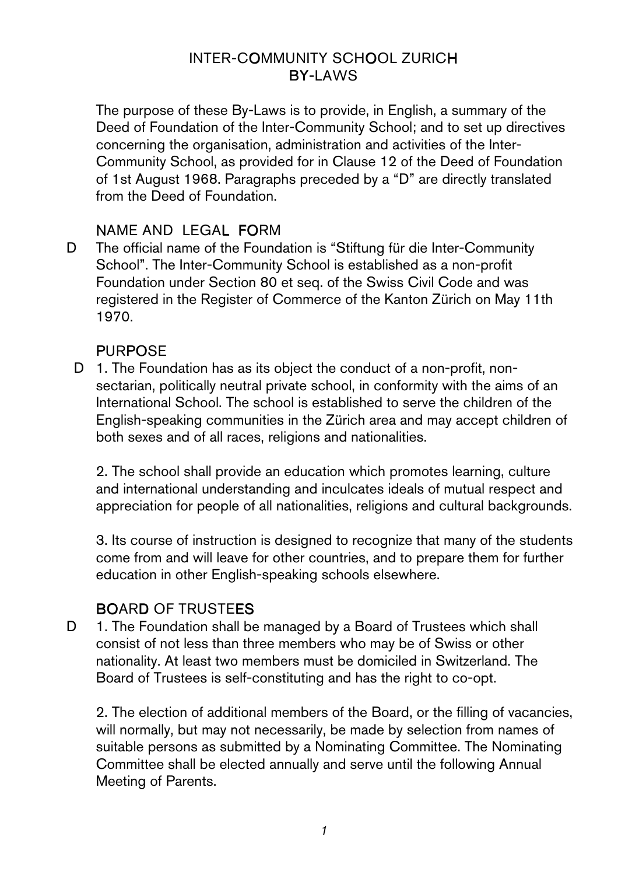# INTER-COMMUNITY SCHOOL ZURICH **BY-LAWS**

The purpose of these By-Laws is to provide, in English, a summary of the Deed of Foundation of the Inter-Community School; and to set up directives concerning the organisation, administration and activities of the Inter-Community School, as provided for in Clause 12 of the Deed of Foundation of 1st August 1968. Paragraphs preceded by a "D" are directly translated from the Deed of Foundation.

# NAME AND LEGAL FORM

D The official name of the Foundation is "Stiftung für die Inter-Community School". The Inter-Community School is established as a non-profit Foundation under Section 80 et seq. of the Swiss Civil Code and was registered in the Register of Commerce of the Kanton Zürich on May 11th 1970.

# **PURPOSE**

D 1. The Foundation has as its object the conduct of a non-profit, nonsectarian, politically neutral private school, in conformity with the aims of an International School. The school is established to serve the children of the English-speaking communities in the Zürich area and may accept children of both sexes and of all races, religions and nationalities.

2. The school shall provide an education which promotes learning, culture and international understanding and inculcates ideals of mutual respect and appreciation for people of all nationalities, religions and cultural backgrounds.

3. Its course of instruction is designed to recognize that many of the students come from and will leave for other countries, and to prepare them for further education in other English-speaking schools elsewhere.

# **BOARD OF TRUSTEES**

D 1. The Foundation shall be managed by a Board of Trustees which shall consist of not less than three members who may be of Swiss or other nationality. At least two members must be domiciled in Switzerland. The Board of Trustees is self-constituting and has the right to co-opt.

2. The election of additional members of the Board, or the filling of vacancies, will normally, but may not necessarily, be made by selection from names of suitable persons as submitted by a Nominating Committee. The Nominating Committee shall be elected annually and serve until the following Annual Meeting of Parents.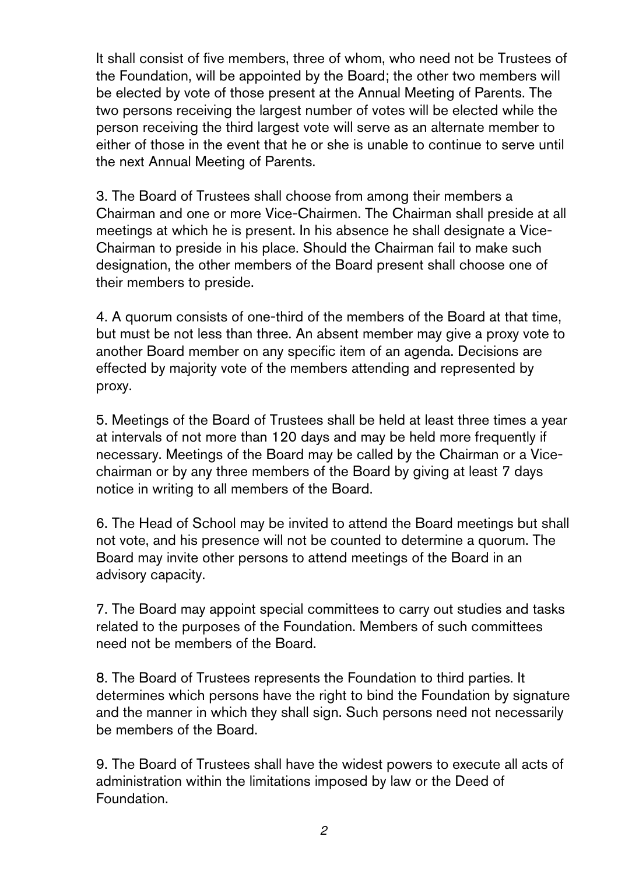It shall consist of five members, three of whom, who need not be Trustees of the Foundation, will be appointed by the Board; the other two members will be elected by vote of those present at the Annual Meeting of Parents. The two persons receiving the largest number of votes will be elected while the person receiving the third largest vote will serve as an alternate member to either of those in the event that he or she is unable to continue to serve until the next Annual Meeting of Parents.

3. The Board of Trustees shall choose from among their members a Chairman and one or more Vice-Chairmen. The Chairman shall preside at all meetings at which he is present. In his absence he shall designate a Vice-Chairman to preside in his place. Should the Chairman fail to make such designation, the other members of the Board present shall choose one of their members to preside.

4. A quorum consists of one-third of the members of the Board at that time, but must be not less than three. An absent member may give a proxy vote to another Board member on any specific item of an agenda. Decisions are effected by majority vote of the members attending and represented by proxy.

5. Meetings of the Board of Trustees shall be held at least three times a year at intervals of not more than 120 days and may be held more frequently if necessary. Meetings of the Board may be called by the Chairman or a Vicechairman or by any three members of the Board by giving at least 7 days notice in writing to all members of the Board.

6. The Head of School may be invited to attend the Board meetings but shall not vote, and his presence will not be counted to determine a quorum. The Board may invite other persons to attend meetings of the Board in an advisory capacity.

7. The Board may appoint special committees to carry out studies and tasks related to the purposes of the Foundation. Members of such committees need not be members of the Board.

8. The Board of Trustees represents the Foundation to third parties. It determines which persons have the right to bind the Foundation by signature and the manner in which they shall sign. Such persons need not necessarily be members of the Board.

9. The Board of Trustees shall have the widest powers to execute all acts of administration within the limitations imposed by law or the Deed of Foundation.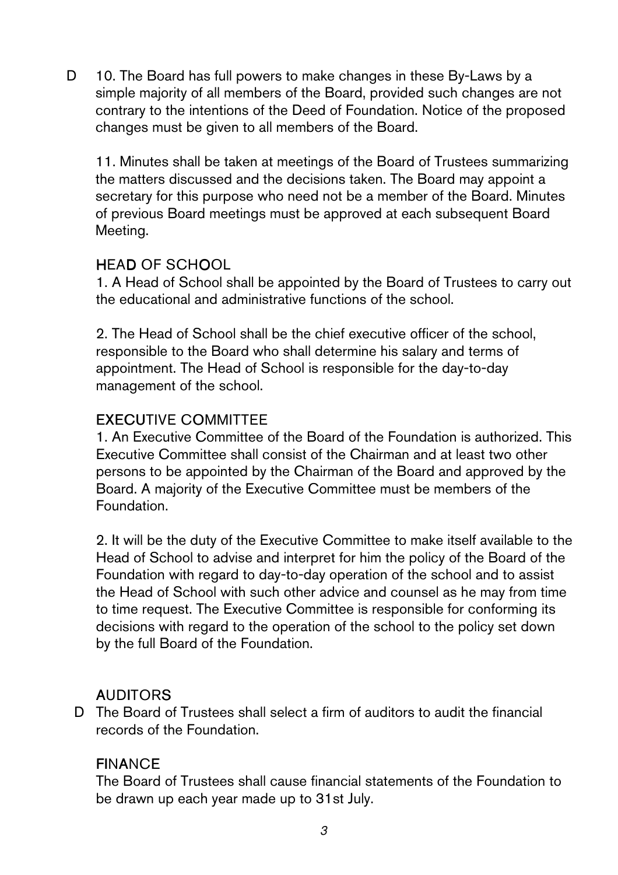D 10. The Board has full powers to make changes in these By-Laws by a simple majority of all members of the Board, provided such changes are not contrary to the intentions of the Deed of Foundation. Notice of the proposed changes must be given to all members of the Board.

11. Minutes shall be taken at meetings of the Board of Trustees summarizing the matters discussed and the decisions taken. The Board may appoint a secretary for this purpose who need not be a member of the Board. Minutes of previous Board meetings must be approved at each subsequent Board Meeting.

# **HEAD OF SCHOOL**

1. A Head of School shall be appointed by the Board of Trustees to carry out the educational and administrative functions of the school.

2. The Head of School shall be the chief executive officer of the school, responsible to the Board who shall determine his salary and terms of appointment. The Head of School is responsible for the day-to-day management of the school.

#### **EXECUTIVE COMMITTEE**

1. An Executive Committee of the Board of the Foundation is authorized. This Executive Committee shall consist of the Chairman and at least two other persons to be appointed by the Chairman of the Board and approved by the Board. A majority of the Executive Committee must be members of the Foundation.

2. It will be the duty of the Executive Committee to make itself available to the Head of School to advise and interpret for him the policy of the Board of the Foundation with regard to day-to-day operation of the school and to assist the Head of School with such other advice and counsel as he may from time to time request. The Executive Committee is responsible for conforming its decisions with regard to the operation of the school to the policy set down by the full Board of the Foundation.

#### **AUDITORS**

D The Board of Trustees shall select a firm of auditors to audit the financial records of the Foundation.

# **FINANCE**

The Board of Trustees shall cause financial statements of the Foundation to be drawn up each year made up to 31st July.